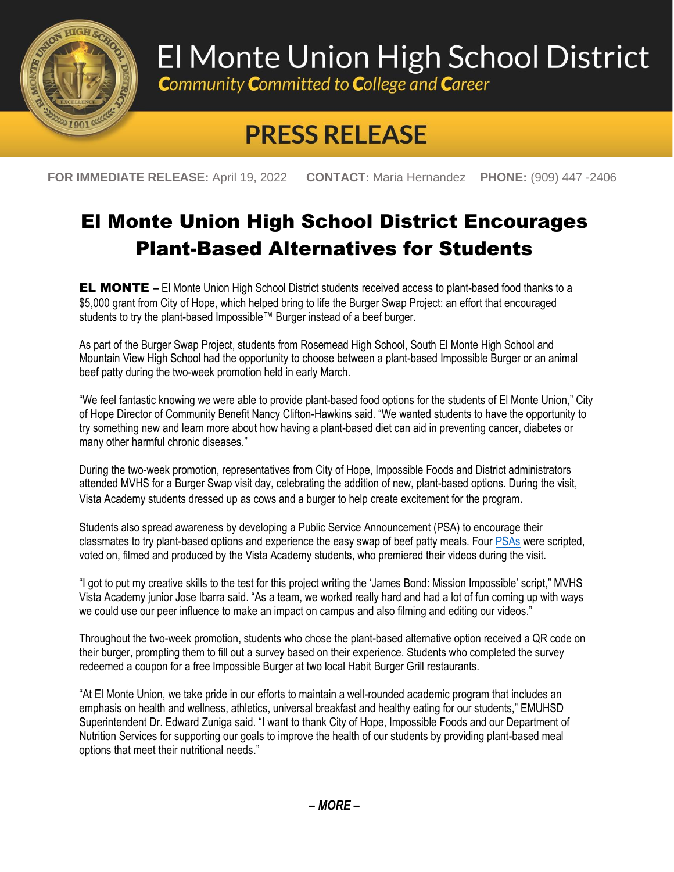

## El Monte Union High School District

**Community Committed to College and Career** 

## **PRESS RELEASE**

**FOR IMMEDIATE RELEASE:** April 19, 2022 **CONTACT:** Maria Hernandez **PHONE:** (909) 447 -2406

## El Monte Union High School District Encourages Plant-Based Alternatives for Students

EL MONTE **–** El Monte Union High School District students received access to plant-based food thanks to a \$5,000 grant from City of Hope, which helped bring to life the Burger Swap Project: an effort that encouraged students to try the plant-based Impossible™ Burger instead of a beef burger.

As part of the Burger Swap Project, students from Rosemead High School, South El Monte High School and Mountain View High School had the opportunity to choose between a plant-based Impossible Burger or an animal beef patty during the two-week promotion held in early March.

"We feel fantastic knowing we were able to provide plant-based food options for the students of El Monte Union," City of Hope Director of Community Benefit Nancy Clifton-Hawkins said. "We wanted students to have the opportunity to try something new and learn more about how having a plant-based diet can aid in preventing cancer, diabetes or many other harmful chronic diseases."

During the two-week promotion, representatives from City of Hope, Impossible Foods and District administrators attended MVHS for a Burger Swap visit day, celebrating the addition of new, plant-based options. During the visit, Vista Academy students dressed up as cows and a burger to help create excitement for the program.

Students also spread awareness by developing a Public Service Announcement (PSA) to encourage their classmates to try plant-based options and experience the easy swap of beef patty meals. Four [PSAs](https://www.youtube.com/c/mvhsvista) were scripted, voted on, filmed and produced by the Vista Academy students, who premiered their videos during the visit.

"I got to put my creative skills to the test for this project writing the 'James Bond: Mission Impossible' script," MVHS Vista Academy junior Jose Ibarra said. "As a team, we worked really hard and had a lot of fun coming up with ways we could use our peer influence to make an impact on campus and also filming and editing our videos."

Throughout the two-week promotion, students who chose the plant-based alternative option received a QR code on their burger, prompting them to fill out a survey based on their experience. Students who completed the survey redeemed a coupon for a free Impossible Burger at two local Habit Burger Grill restaurants.

"At El Monte Union, we take pride in our efforts to maintain a well-rounded academic program that includes an emphasis on health and wellness, athletics, universal breakfast and healthy eating for our students," EMUHSD Superintendent Dr. Edward Zuniga said. "I want to thank City of Hope, Impossible Foods and our Department of Nutrition Services for supporting our goals to improve the health of our students by providing plant-based meal options that meet their nutritional needs."